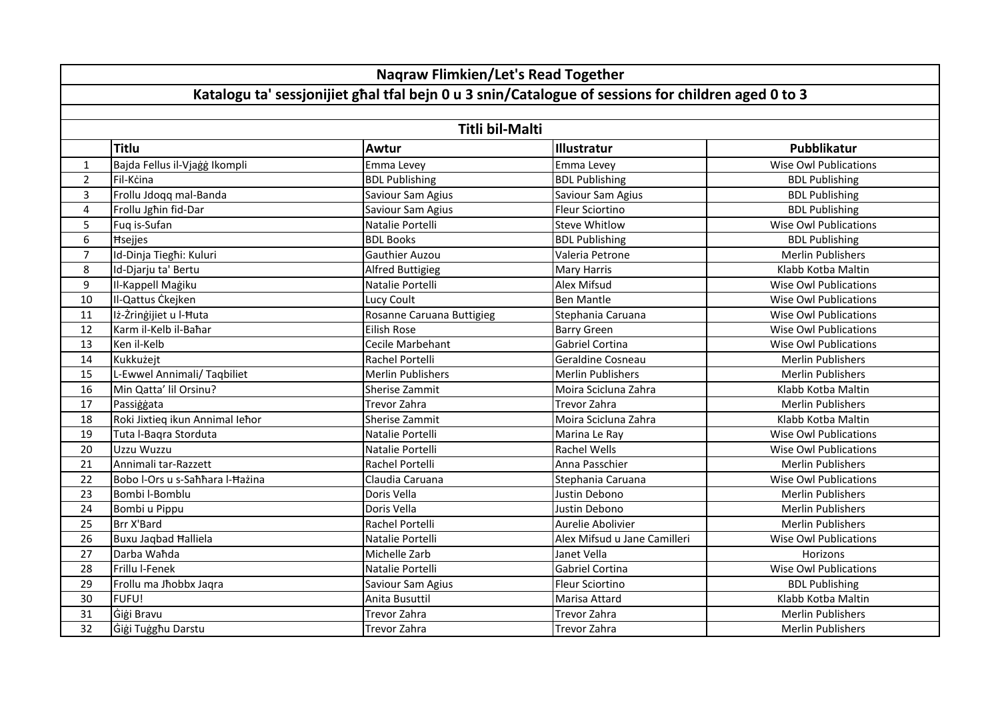|                | <b>Nagraw Flimkien/Let's Read Together</b>                                                         |                           |                              |                              |  |  |
|----------------|----------------------------------------------------------------------------------------------------|---------------------------|------------------------------|------------------------------|--|--|
|                | Katalogu ta' sessjonijiet ghal tfal bejn 0 u 3 snin/Catalogue of sessions for children aged 0 to 3 |                           |                              |                              |  |  |
|                |                                                                                                    |                           |                              |                              |  |  |
|                |                                                                                                    | Titli bil-Malti           |                              |                              |  |  |
|                | <b>Titlu</b>                                                                                       | Awtur                     | Illustratur                  | Pubblikatur                  |  |  |
| $\mathbf{1}$   | Bajda Fellus il-Vjaġġ Ikompli                                                                      | Emma Levey                | Emma Levey                   | <b>Wise Owl Publications</b> |  |  |
| $\overline{2}$ | Fil-Kċina                                                                                          | <b>BDL Publishing</b>     | <b>BDL Publishing</b>        | <b>BDL Publishing</b>        |  |  |
| 3              | Frollu Jdoqq mal-Banda                                                                             | Saviour Sam Agius         | Saviour Sam Agius            | <b>BDL Publishing</b>        |  |  |
| 4              | Frollu Jghin fid-Dar                                                                               | Saviour Sam Agius         | Fleur Sciortino              | <b>BDL Publishing</b>        |  |  |
| 5              | Fuq is-Sufan                                                                                       | Natalie Portelli          | <b>Steve Whitlow</b>         | <b>Wise Owl Publications</b> |  |  |
| 6              | <b>Hsejjes</b>                                                                                     | <b>BDL Books</b>          | <b>BDL Publishing</b>        | <b>BDL Publishing</b>        |  |  |
| $\overline{7}$ | Id-Dinja Tieghi: Kuluri                                                                            | Gauthier Auzou            | Valeria Petrone              | <b>Merlin Publishers</b>     |  |  |
| 8              | Id-Djarju ta' Bertu                                                                                | Alfred Buttigieg          | Mary Harris                  | Klabb Kotba Maltin           |  |  |
| 9              | Il-Kappell Magiku                                                                                  | Natalie Portelli          | Alex Mifsud                  | <b>Wise Owl Publications</b> |  |  |
| 10             | Il-Qattus Ckejken                                                                                  | Lucy Coult                | <b>Ben Mantle</b>            | Wise Owl Publications        |  |  |
| 11             | Iż-Żringijiet u l-Huta                                                                             | Rosanne Caruana Buttigieg | Stephania Caruana            | <b>Wise Owl Publications</b> |  |  |
| 12             | Karm il-Kelb il-Baħar                                                                              | Eilish Rose               | <b>Barry Green</b>           | <b>Wise Owl Publications</b> |  |  |
| 13             | Ken il-Kelb                                                                                        | Cecile Marbehant          | <b>Gabriel Cortina</b>       | <b>Wise Owl Publications</b> |  |  |
| 14             | Kukkużejt                                                                                          | Rachel Portelli           | Geraldine Cosneau            | <b>Merlin Publishers</b>     |  |  |
| 15             | L-Ewwel Annimali/ Taqbiliet                                                                        | <b>Merlin Publishers</b>  | <b>Merlin Publishers</b>     | <b>Merlin Publishers</b>     |  |  |
| 16             | Min Qatta' lil Orsinu?                                                                             | <b>Sherise Zammit</b>     | Moira Scicluna Zahra         | Klabb Kotba Maltin           |  |  |
| 17             | Passiggata                                                                                         | Trevor Zahra              | Trevor Zahra                 | <b>Merlin Publishers</b>     |  |  |
| 18             | Roki Jixtieq ikun Annimal lehor                                                                    | Sherise Zammit            | Moira Scicluna Zahra         | Klabb Kotba Maltin           |  |  |
| 19             | Tuta I-Bagra Storduta                                                                              | Natalie Portelli          | Marina Le Ray                | <b>Wise Owl Publications</b> |  |  |
| 20             | Uzzu Wuzzu                                                                                         | Natalie Portelli          | <b>Rachel Wells</b>          | <b>Wise Owl Publications</b> |  |  |
| 21             | Annimali tar-Razzett                                                                               | Rachel Portelli           | Anna Passchier               | <b>Merlin Publishers</b>     |  |  |
| 22             | Bobo I-Ors u s-Saħħara I-Ħażina                                                                    | Claudia Caruana           | Stephania Caruana            | <b>Wise Owl Publications</b> |  |  |
| 23             | Bombi I-Bomblu                                                                                     | Doris Vella               | Justin Debono                | <b>Merlin Publishers</b>     |  |  |
| 24             | Bombi u Pippu                                                                                      | Doris Vella               | Justin Debono                | <b>Merlin Publishers</b>     |  |  |
| 25             | Brr X'Bard                                                                                         | Rachel Portelli           | Aurelie Abolivier            | <b>Merlin Publishers</b>     |  |  |
| 26             | Buxu Jaqbad Halliela                                                                               | Natalie Portelli          | Alex Mifsud u Jane Camilleri | Wise Owl Publications        |  |  |
| 27             | Darba Waħda                                                                                        | Michelle Zarb             | Janet Vella                  | Horizons                     |  |  |
| 28             | Frillu I-Fenek                                                                                     | Natalie Portelli          | <b>Gabriel Cortina</b>       | <b>Wise Owl Publications</b> |  |  |
| 29             | Frollu ma Jhobbx Jaqra                                                                             | Saviour Sam Agius         | Fleur Sciortino              | <b>BDL Publishing</b>        |  |  |
| 30             | <b>FUFU!</b>                                                                                       | Anita Busuttil            | Marisa Attard                | Klabb Kotba Maltin           |  |  |
| 31             | Gigi Bravu                                                                                         | Trevor Zahra              | Trevor Zahra                 | <b>Merlin Publishers</b>     |  |  |
| 32             | Gigi Tugghu Darstu                                                                                 | Trevor Zahra              | Trevor Zahra                 | <b>Merlin Publishers</b>     |  |  |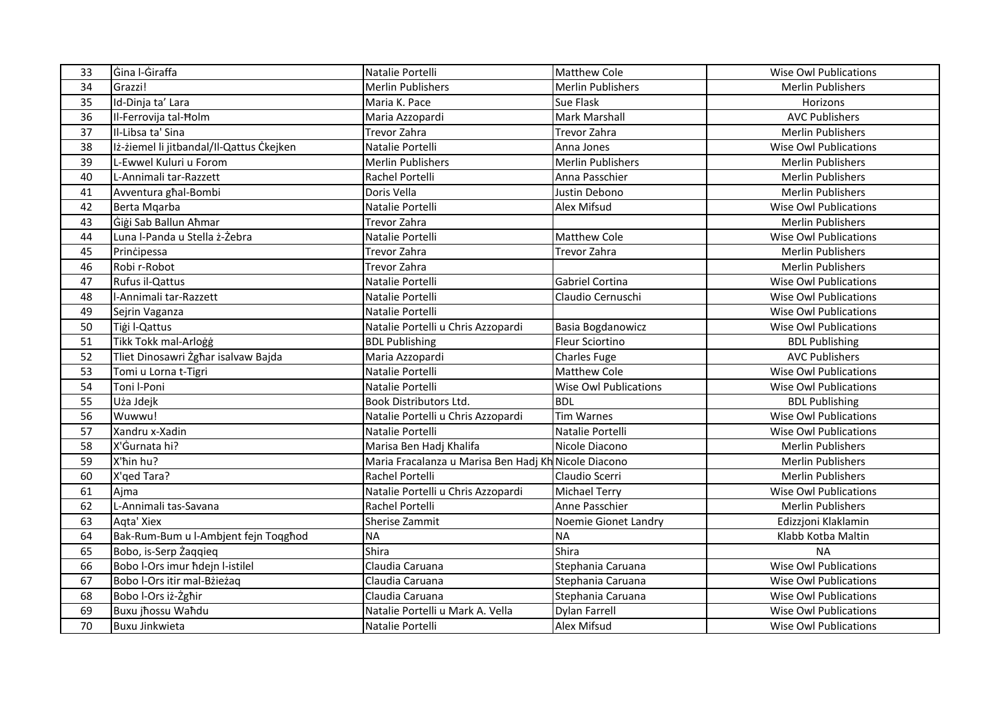| 33 | Gina I-Giraffa                           | Natalie Portelli                                     | <b>Matthew Cole</b>          | Wise Owl Publications        |
|----|------------------------------------------|------------------------------------------------------|------------------------------|------------------------------|
| 34 | Grazzi!                                  | Merlin Publishers                                    | <b>Merlin Publishers</b>     | <b>Merlin Publishers</b>     |
| 35 | Id-Dinja ta' Lara                        | Maria K. Pace                                        | Sue Flask                    | Horizons                     |
| 36 | Il-Ferrovija tal-Holm                    | Maria Azzopardi                                      | Mark Marshall                | <b>AVC Publishers</b>        |
| 37 | Il-Libsa ta' Sina                        | Trevor Zahra                                         | Trevor Zahra                 | <b>Merlin Publishers</b>     |
| 38 | Iż-żiemel li jitbandal/Il-Qattus Ckejken | Natalie Portelli                                     | Anna Jones                   | <b>Wise Owl Publications</b> |
| 39 | L-Ewwel Kuluri u Forom                   | <b>Merlin Publishers</b>                             | <b>Merlin Publishers</b>     | Merlin Publishers            |
| 40 | L-Annimali tar-Razzett                   | Rachel Portelli                                      | Anna Passchier               | Merlin Publishers            |
| 41 | Avventura ghal-Bombi                     | Doris Vella                                          | Justin Debono                | <b>Merlin Publishers</b>     |
| 42 | Berta Mgarba                             | Natalie Portelli                                     | Alex Mifsud                  | <b>Wise Owl Publications</b> |
| 43 | Gigi Sab Ballun Ahmar                    | Trevor Zahra                                         |                              | <b>Merlin Publishers</b>     |
| 44 | Luna l-Panda u Stella ż-Żebra            | Natalie Portelli                                     | <b>Matthew Cole</b>          | Wise Owl Publications        |
| 45 | Principessa                              | Trevor Zahra                                         | Trevor Zahra                 | Merlin Publishers            |
| 46 | Robi r-Robot                             | Trevor Zahra                                         |                              | Merlin Publishers            |
| 47 | Rufus il-Qattus                          | Natalie Portelli                                     | Gabriel Cortina              | <b>Wise Owl Publications</b> |
| 48 | I-Annimali tar-Razzett                   | Natalie Portelli                                     | Claudio Cernuschi            | <b>Wise Owl Publications</b> |
| 49 | Sejrin Vaganza                           | Natalie Portelli                                     |                              | <b>Wise Owl Publications</b> |
| 50 | Tiģi I-Qattus                            | Natalie Portelli u Chris Azzopardi                   | Basia Bogdanowicz            | Wise Owl Publications        |
| 51 | Tikk Tokk mal-Arlogg                     | <b>BDL Publishing</b>                                | Fleur Sciortino              | <b>BDL Publishing</b>        |
| 52 | Tliet Dinosawri Żgħar isalvaw Bajda      | Maria Azzopardi                                      | <b>Charles Fuge</b>          | <b>AVC Publishers</b>        |
| 53 | Tomi u Lorna t-Tigri                     | Natalie Portelli                                     | <b>Matthew Cole</b>          | <b>Wise Owl Publications</b> |
| 54 | Toni I-Poni                              | Natalie Portelli                                     | <b>Wise Owl Publications</b> | Wise Owl Publications        |
| 55 | Uża Jdejk                                | Book Distributors Ltd.                               | <b>BDL</b>                   | <b>BDL Publishing</b>        |
| 56 | Wuwwu!                                   | Natalie Portelli u Chris Azzopardi                   | <b>Tim Warnes</b>            | <b>Wise Owl Publications</b> |
| 57 | Xandru x-Xadin                           | Natalie Portelli                                     | Natalie Portelli             | Wise Owl Publications        |
| 58 | X'Gurnata hi?                            | Marisa Ben Hadj Khalifa                              | Nicole Diacono               | Merlin Publishers            |
| 59 | X'hin hu?                                | Maria Fracalanza u Marisa Ben Hadj Kh Nicole Diacono |                              | Merlin Publishers            |
| 60 | X'ged Tara?                              | Rachel Portelli                                      | Claudio Scerri               | Merlin Publishers            |
| 61 | Ajma                                     | Natalie Portelli u Chris Azzopardi                   | <b>Michael Terry</b>         | Wise Owl Publications        |
| 62 | L-Annimali tas-Savana                    | Rachel Portelli                                      | Anne Passchier               | Merlin Publishers            |
| 63 | Aqta' Xiex                               | Sherise Zammit                                       | Noemie Gionet Landry         | Edizzjoni Klaklamin          |
| 64 | Bak-Rum-Bum u l-Ambjent fejn Togghod     | <b>NA</b>                                            | <b>NA</b>                    | Klabb Kotba Maltin           |
| 65 | Bobo, is-Serp Zaqqieq                    | Shira                                                | Shira                        | <b>NA</b>                    |
| 66 | Bobo I-Ors imur ħdejn I-istilel          | Claudia Caruana                                      | Stephania Caruana            | <b>Wise Owl Publications</b> |
| 67 | Bobo l-Ors itir mal-Bżieżaq              | Claudia Caruana                                      | Stephania Caruana            | Wise Owl Publications        |
| 68 | Bobo I-Ors iż-Żgħir                      | Claudia Caruana                                      | Stephania Caruana            | Wise Owl Publications        |
| 69 | Buxu jhossu Wahdu                        | Natalie Portelli u Mark A. Vella                     | <b>Dylan Farrell</b>         | <b>Wise Owl Publications</b> |
| 70 | Buxu Jinkwieta                           | Natalie Portelli                                     | Alex Mifsud                  | <b>Wise Owl Publications</b> |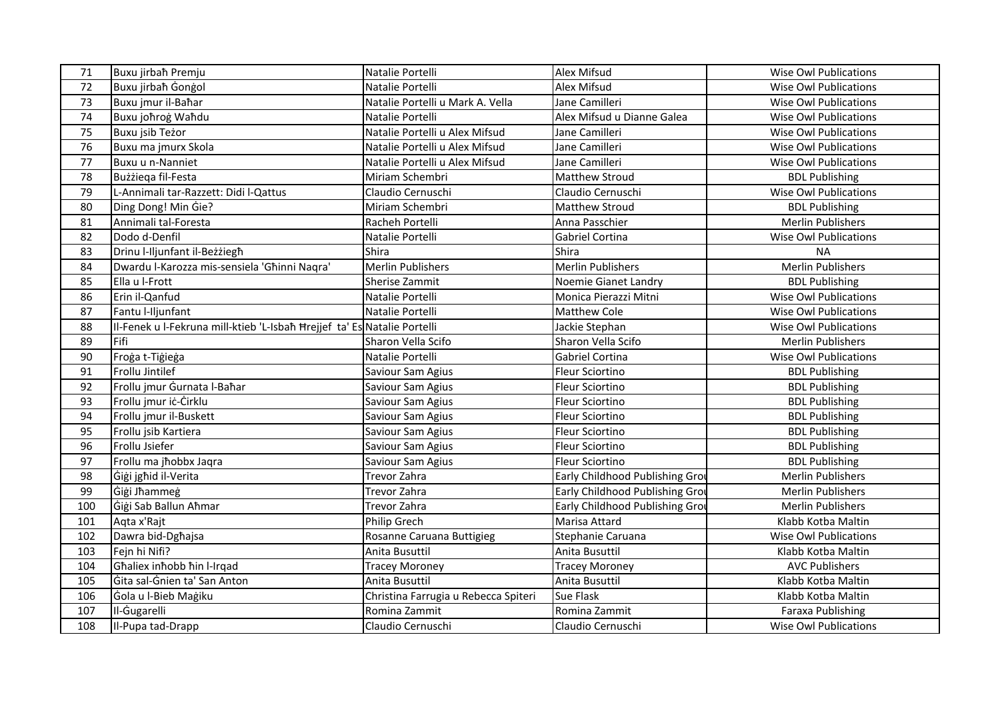| 71  | Buxu jirbah Premju                                                       | Natalie Portelli                     | Alex Mifsud                     | Wise Owl Publications        |
|-----|--------------------------------------------------------------------------|--------------------------------------|---------------------------------|------------------------------|
| 72  | Buxu jirbah Gongol                                                       | Natalie Portelli                     | Alex Mifsud                     | <b>Wise Owl Publications</b> |
| 73  | Buxu jmur il-Baħar                                                       | Natalie Portelli u Mark A. Vella     | Jane Camilleri                  | Wise Owl Publications        |
| 74  | Buxu johrog Wahdu                                                        | Natalie Portelli                     | Alex Mifsud u Dianne Galea      | <b>Wise Owl Publications</b> |
| 75  | Buxu jsib Teżor                                                          | Natalie Portelli u Alex Mifsud       | Jane Camilleri                  | <b>Wise Owl Publications</b> |
| 76  | Buxu ma jmurx Skola                                                      | Natalie Portelli u Alex Mifsud       | Jane Camilleri                  | <b>Wise Owl Publications</b> |
| 77  | Buxu u n-Nanniet                                                         | Natalie Portelli u Alex Mifsud       | Jane Camilleri                  | <b>Wise Owl Publications</b> |
| 78  | Bużżiega fil-Festa                                                       | Miriam Schembri                      | Matthew Stroud                  | <b>BDL Publishing</b>        |
| 79  | L-Annimali tar-Razzett: Didi l-Qattus                                    | Claudio Cernuschi                    | Claudio Cernuschi               | <b>Wise Owl Publications</b> |
| 80  | Ding Dong! Min Gie?                                                      | Miriam Schembri                      | Matthew Stroud                  | <b>BDL Publishing</b>        |
| 81  | Annimali tal-Foresta                                                     | Racheh Portelli                      | Anna Passchier                  | Merlin Publishers            |
| 82  | Dodo d-Denfil                                                            | Natalie Portelli                     | Gabriel Cortina                 | <b>Wise Owl Publications</b> |
| 83  | Drinu I-Iljunfant il-Beżżiegħ                                            | Shira                                | Shira                           | <b>NA</b>                    |
| 84  | Dwardu l-Karozza mis-sensiela 'Għinni Nagra'                             | Merlin Publishers                    | <b>Merlin Publishers</b>        | Merlin Publishers            |
| 85  | Ella u I-Frott                                                           | Sherise Zammit                       | Noemie Gianet Landry            | <b>BDL Publishing</b>        |
| 86  | Erin il-Qanfud                                                           | Natalie Portelli                     | Monica Pierazzi Mitni           | Wise Owl Publications        |
| 87  | Fantu I-Iljunfant                                                        | Natalie Portelli                     | <b>Matthew Cole</b>             | <b>Wise Owl Publications</b> |
| 88  | II-Fenek u I-Fekruna mill-ktieb 'L-Isbah Hrejjef ta' Es Natalie Portelli |                                      | Jackie Stephan                  | <b>Wise Owl Publications</b> |
| 89  | Fifi                                                                     | Sharon Vella Scifo                   | Sharon Vella Scifo              | Merlin Publishers            |
| 90  | Froga t-Tigiega                                                          | Natalie Portelli                     | Gabriel Cortina                 | <b>Wise Owl Publications</b> |
| 91  | Frollu Jintilef                                                          | Saviour Sam Agius                    | Fleur Sciortino                 | <b>BDL Publishing</b>        |
| 92  | Frollu jmur Gurnata I-Baħar                                              | Saviour Sam Agius                    | Fleur Sciortino                 | <b>BDL Publishing</b>        |
| 93  | Frollu jmur iċ-Ċirklu                                                    | Saviour Sam Agius                    | Fleur Sciortino                 | <b>BDL Publishing</b>        |
| 94  | Frollu jmur il-Buskett                                                   | Saviour Sam Agius                    | Fleur Sciortino                 | <b>BDL Publishing</b>        |
| 95  | Frollu jsib Kartiera                                                     | Saviour Sam Agius                    | Fleur Sciortino                 | <b>BDL Publishing</b>        |
| 96  | Frollu Jsiefer                                                           | Saviour Sam Agius                    | Fleur Sciortino                 | <b>BDL Publishing</b>        |
| 97  | Frollu ma jħobbx Jaqra                                                   | Saviour Sam Agius                    | Fleur Sciortino                 | <b>BDL Publishing</b>        |
| 98  | Gigi jghid il-Verita                                                     | Trevor Zahra                         | Early Childhood Publishing Grou | Merlin Publishers            |
| 99  | Gigi Jhammeg                                                             | Trevor Zahra                         | Early Childhood Publishing Grou | Merlin Publishers            |
| 100 | Gigi Sab Ballun Ahmar                                                    | Trevor Zahra                         | Early Childhood Publishing Grou | Merlin Publishers            |
| 101 | Aqta x'Rajt                                                              | Philip Grech                         | Marisa Attard                   | Klabb Kotba Maltin           |
| 102 | Dawra bid-Dgħajsa                                                        | Rosanne Caruana Buttigieg            | Stephanie Caruana               | <b>Wise Owl Publications</b> |
| 103 | Fejn hi Nifi?                                                            | Anita Busuttil                       | Anita Busuttil                  | Klabb Kotba Maltin           |
| 104 | Ghaliex inhobb hin I-Irqad                                               | <b>Tracey Moroney</b>                | <b>Tracey Moroney</b>           | <b>AVC Publishers</b>        |
| 105 | Gita sal-Gnien ta' San Anton                                             | Anita Busuttil                       | Anita Busuttil                  | Klabb Kotba Maltin           |
| 106 | Gola u I-Bieb Magiku                                                     | Christina Farrugia u Rebecca Spiteri | Sue Flask                       | Klabb Kotba Maltin           |
| 107 | Il-Gugarelli                                                             | Romina Zammit                        | Romina Zammit                   | Faraxa Publishing            |
| 108 | Il-Pupa tad-Drapp                                                        | Claudio Cernuschi                    | Claudio Cernuschi               | <b>Wise Owl Publications</b> |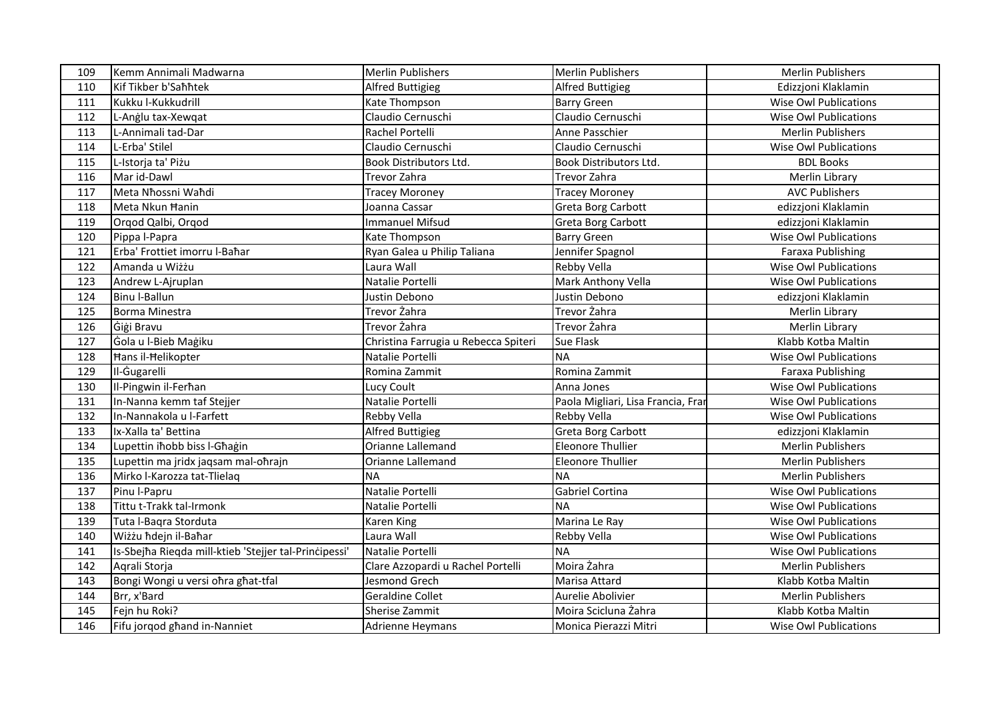| 109 | Kemm Annimali Madwarna                                | <b>Merlin Publishers</b>             | <b>Merlin Publishers</b>           | Merlin Publishers            |
|-----|-------------------------------------------------------|--------------------------------------|------------------------------------|------------------------------|
| 110 | Kif Tikber b'Saħħtek                                  | Alfred Buttigieg                     | <b>Alfred Buttigieg</b>            | Edizzjoni Klaklamin          |
| 111 | Kukku l-Kukkudrill                                    | Kate Thompson                        | <b>Barry Green</b>                 | <b>Wise Owl Publications</b> |
| 112 | L-Anglu tax-Xewqat                                    | Claudio Cernuschi                    | Claudio Cernuschi                  | <b>Wise Owl Publications</b> |
| 113 | L-Annimali tad-Dar                                    | Rachel Portelli                      | Anne Passchier                     | <b>Merlin Publishers</b>     |
| 114 | L-Erba' Stilel                                        | Claudio Cernuschi                    | Claudio Cernuschi                  | <b>Wise Owl Publications</b> |
| 115 | L-Istorja ta' Piżu                                    | Book Distributors Ltd.               | Book Distributors Ltd.             | <b>BDL Books</b>             |
| 116 | Mar id-Dawl                                           | <b>Trevor Zahra</b>                  | Trevor Zahra                       | Merlin Library               |
| 117 | Meta Nhossni Wahdi                                    | <b>Tracey Moroney</b>                | <b>Tracey Moroney</b>              | <b>AVC Publishers</b>        |
| 118 | Meta Nkun Hanin                                       | Joanna Cassar                        | Greta Borg Carbott                 | edizzjoni Klaklamin          |
| 119 | Orgod Qalbi, Orgod                                    | <b>Immanuel Mifsud</b>               | Greta Borg Carbott                 | edizzjoni Klaklamin          |
| 120 | Pippa I-Papra                                         | Kate Thompson                        | <b>Barry Green</b>                 | <b>Wise Owl Publications</b> |
| 121 | Erba' Frottiet imorru l-Baħar                         | Ryan Galea u Philip Taliana          | Jennifer Spagnol                   | Faraxa Publishing            |
| 122 | Amanda u Wiżżu                                        | Laura Wall                           | Rebby Vella                        | <b>Wise Owl Publications</b> |
| 123 | Andrew L-Ajruplan                                     | Natalie Portelli                     | Mark Anthony Vella                 | Wise Owl Publications        |
| 124 | Binu I-Ballun                                         | Justin Debono                        | Justin Debono                      | edizzjoni Klaklamin          |
| 125 | Borma Minestra                                        | Trevor Żahra                         | Trevor Żahra                       | Merlin Library               |
| 126 | Gigi Bravu                                            | Trevor Żahra                         | Trevor Żahra                       | Merlin Library               |
| 127 | Gola u I-Bieb Magiku                                  | Christina Farrugia u Rebecca Spiteri | <b>Sue Flask</b>                   | Klabb Kotba Maltin           |
| 128 | Hans il-Helikopter                                    | Natalie Portelli                     | <b>NA</b>                          | <b>Wise Owl Publications</b> |
| 129 | Il-Gugarelli                                          | Romina Zammit                        | Romina Zammit                      | Faraxa Publishing            |
| 130 | Il-Pingwin il-Ferħan                                  | Lucy Coult                           | Anna Jones                         | <b>Wise Owl Publications</b> |
| 131 | In-Nanna kemm taf Stejjer                             | Natalie Portelli                     | Paola Migliari, Lisa Francia, Frar | <b>Wise Owl Publications</b> |
| 132 | In-Nannakola u I-Farfett                              | Rebby Vella                          | Rebby Vella                        | Wise Owl Publications        |
| 133 | Ix-Xalla ta' Bettina                                  | <b>Alfred Buttigieg</b>              | Greta Borg Carbott                 | edizzjoni Klaklamin          |
| 134 | Lupettin ihobb biss I-Ghagin                          | Orianne Lallemand                    | <b>Eleonore Thullier</b>           | Merlin Publishers            |
| 135 | Lupettin ma jridx jagsam mal-ohrajn                   | Orianne Lallemand                    | <b>Eleonore Thullier</b>           | Merlin Publishers            |
| 136 | Mirko l-Karozza tat-Tlielaq                           | <b>NA</b>                            | <b>NA</b>                          | Merlin Publishers            |
| 137 | Pinu I-Papru                                          | Natalie Portelli                     | Gabriel Cortina                    | Wise Owl Publications        |
| 138 | Tittu t-Trakk tal-Irmonk                              | Natalie Portelli                     | <b>NA</b>                          | Wise Owl Publications        |
| 139 | Tuta I-Bagra Storduta                                 | Karen King                           | Marina Le Ray                      | Wise Owl Publications        |
| 140 | Wiżżu ħdejn il-Baħar                                  | Laura Wall                           | Rebby Vella                        | Wise Owl Publications        |
| 141 | Is-Sbejha Riegda mill-ktieb 'Stejjer tal-Principessi' | Natalie Portelli                     | <b>NA</b>                          | Wise Owl Publications        |
| 142 | Agrali Storja                                         | Clare Azzopardi u Rachel Portelli    | Moira Żahra                        | <b>Merlin Publishers</b>     |
| 143 | Bongi Wongi u versi ohra ghat-tfal                    | Jesmond Grech                        | Marisa Attard                      | Klabb Kotba Maltin           |
| 144 | Brr, x'Bard                                           | <b>Geraldine Collet</b>              | Aurelie Abolivier                  | Merlin Publishers            |
| 145 | Fejn hu Roki?                                         | Sherise Zammit                       | Moira Scicluna Żahra               | Klabb Kotba Maltin           |
| 146 | Fifu jorgod ghand in-Nanniet                          | Adrienne Heymans                     | Monica Pierazzi Mitri              | Wise Owl Publications        |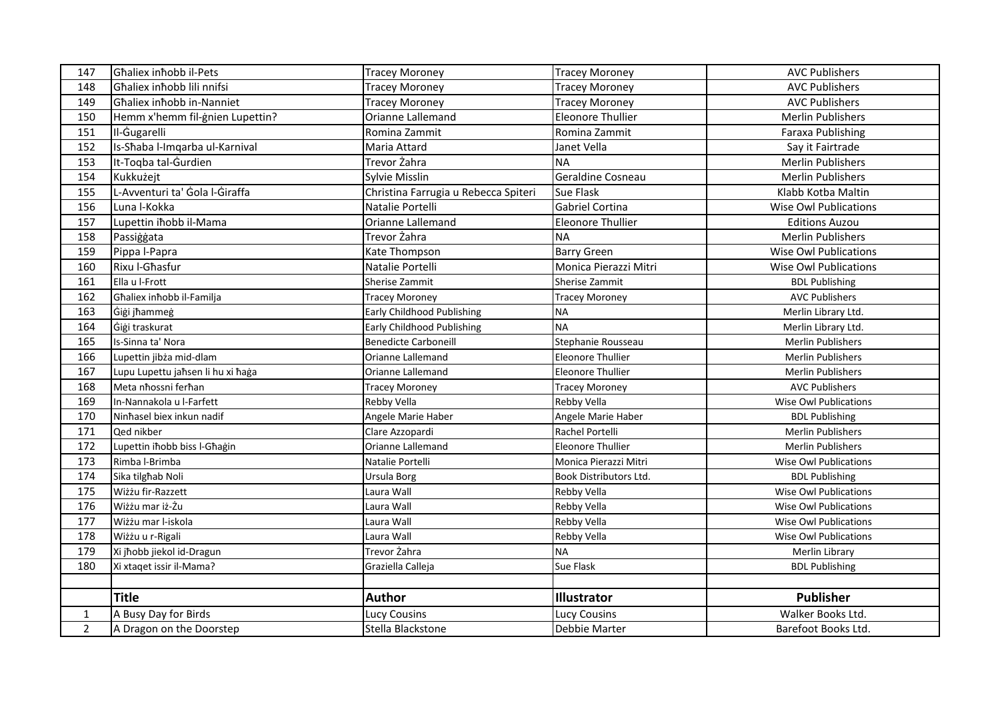| 147            | Ghaliex inhobb il-Pets            | <b>Tracey Moroney</b>                | <b>Tracey Moroney</b>    | <b>AVC Publishers</b>        |
|----------------|-----------------------------------|--------------------------------------|--------------------------|------------------------------|
| 148            | Ghaliex inhobb lili nnifsi        | <b>Tracey Moroney</b>                | <b>Tracey Moroney</b>    | <b>AVC Publishers</b>        |
| 149            | Ghaliex inhobb in-Nanniet         | <b>Tracey Moroney</b>                | <b>Tracey Moroney</b>    | <b>AVC Publishers</b>        |
| 150            | Hemm x'hemm fil-gnien Lupettin?   | Orianne Lallemand                    | Eleonore Thullier        | <b>Merlin Publishers</b>     |
| 151            | Il-Gugarelli                      | Romina Zammit                        | Romina Zammit            | Faraxa Publishing            |
| 152            | Is-Shaba I-Imqarba ul-Karnival    | Maria Attard                         | Janet Vella              | Say it Fairtrade             |
| 153            | It-Toqba tal-Gurdien              | Trevor Żahra                         | <b>NA</b>                | Merlin Publishers            |
| 154            | Kukkużejt                         | Sylvie Misslin                       | Geraldine Cosneau        | Merlin Publishers            |
| 155            | L-Avventuri ta' Gola l-Giraffa    | Christina Farrugia u Rebecca Spiteri | <b>Sue Flask</b>         | Klabb Kotba Maltin           |
| 156            | Luna I-Kokka                      | Natalie Portelli                     | Gabriel Cortina          | Wise Owl Publications        |
| 157            | Lupettin ihobb il-Mama            | Orianne Lallemand                    | <b>Eleonore Thullier</b> | <b>Editions Auzou</b>        |
| 158            | Passiggata                        | Trevor Żahra                         | <b>NA</b>                | Merlin Publishers            |
| 159            | Pippa I-Papra                     | Kate Thompson                        | <b>Barry Green</b>       | Wise Owl Publications        |
| 160            | Rixu l-Għasfur                    | Natalie Portelli                     | Monica Pierazzi Mitri    | <b>Wise Owl Publications</b> |
| 161            | Ella u I-Frott                    | Sherise Zammit                       | Sherise Zammit           | <b>BDL Publishing</b>        |
| 162            | Ghaliex inhobb il-Familja         | <b>Tracey Moroney</b>                | <b>Tracey Moroney</b>    | <b>AVC Publishers</b>        |
| 163            | Gigi jhammeg                      | Early Childhood Publishing           | <b>NA</b>                | Merlin Library Ltd.          |
| 164            | Gigi traskurat                    | Early Childhood Publishing           | <b>NA</b>                | Merlin Library Ltd.          |
| 165            | Is-Sinna ta' Nora                 | <b>Benedicte Carboneill</b>          | Stephanie Rousseau       | <b>Merlin Publishers</b>     |
| 166            | Lupettin jibża mid-dlam           | Orianne Lallemand                    | <b>Eleonore Thullier</b> | <b>Merlin Publishers</b>     |
| 167            | Lupu Lupettu jahsen li hu xi haga | Orianne Lallemand                    | <b>Eleonore Thullier</b> | <b>Merlin Publishers</b>     |
| 168            | Meta nhossni ferhan               | Tracey Moroney                       | <b>Tracey Moroney</b>    | <b>AVC Publishers</b>        |
| 169            | In-Nannakola u I-Farfett          | Rebby Vella                          | Rebby Vella              | Wise Owl Publications        |
| 170            | Ninhasel biex inkun nadif         | Angele Marie Haber                   | Angele Marie Haber       | <b>BDL Publishing</b>        |
| 171            | Qed nikber                        | Clare Azzopardi                      | Rachel Portelli          | <b>Merlin Publishers</b>     |
| 172            | Lupettin ihobb biss I-Ghagin      | Orianne Lallemand                    | <b>Eleonore Thullier</b> | <b>Merlin Publishers</b>     |
| 173            | Rimba I-Brimba                    | Natalie Portelli                     | Monica Pierazzi Mitri    | Wise Owl Publications        |
| 174            | Sika tilghab Noli                 | Ursula Borg                          | Book Distributors Ltd.   | <b>BDL Publishing</b>        |
| 175            | Wiżżu fir-Razzett                 | Laura Wall                           | Rebby Vella              | Wise Owl Publications        |
| 176            | Wiżżu mar iż-Żu                   | Laura Wall                           | Rebby Vella              | <b>Wise Owl Publications</b> |
| 177            | Wiżżu mar I-iskola                | Laura Wall                           | Rebby Vella              | <b>Wise Owl Publications</b> |
| 178            | Wiżżu u r-Rigali                  | Laura Wall                           | Rebby Vella              | Wise Owl Publications        |
| 179            | Xi jħobb jiekol id-Dragun         | Trevor Żahra                         | <b>NA</b>                | Merlin Library               |
| 180            | Xi xtaqet issir il-Mama?          | Graziella Calleja                    | Sue Flask                | <b>BDL Publishing</b>        |
|                |                                   |                                      |                          |                              |
|                | <b>Title</b>                      | <b>Author</b>                        | Illustrator              | Publisher                    |
| $\mathbf{1}$   | A Busy Day for Birds              | <b>Lucy Cousins</b>                  | Lucy Cousins             | Walker Books Ltd.            |
| $\overline{2}$ | A Dragon on the Doorstep          | Stella Blackstone                    | Debbie Marter            | Barefoot Books Ltd.          |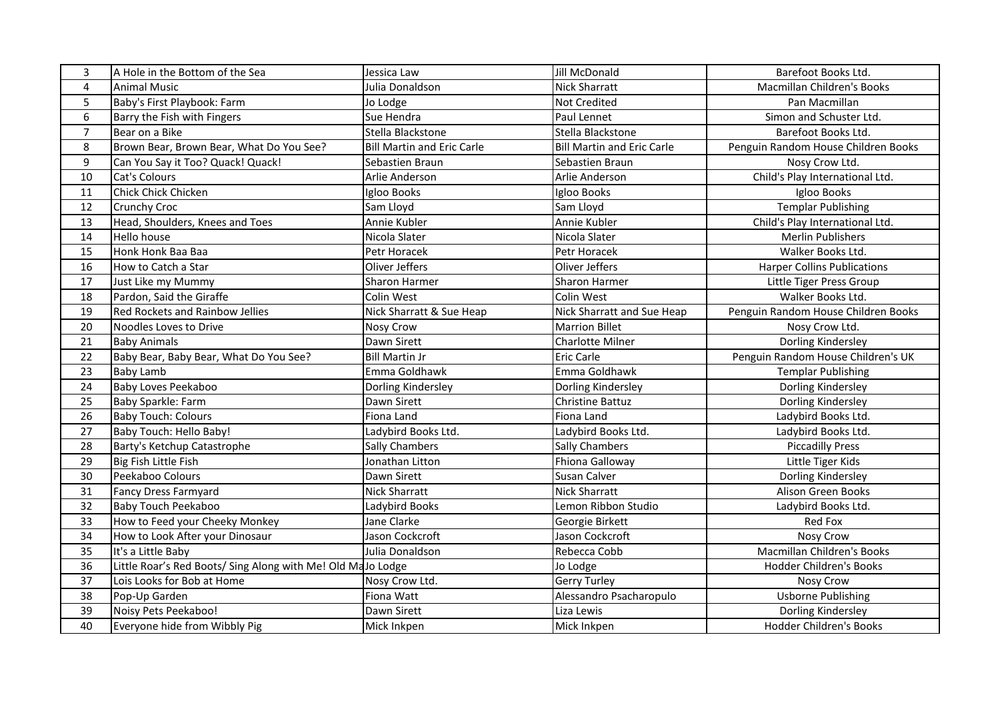| 3              | A Hole in the Bottom of the Sea                             | Jessica Law                       | <b>Jill McDonald</b>              | Barefoot Books Ltd.                 |
|----------------|-------------------------------------------------------------|-----------------------------------|-----------------------------------|-------------------------------------|
| $\overline{4}$ | <b>Animal Music</b>                                         | Julia Donaldson                   | <b>Nick Sharratt</b>              | Macmillan Children's Books          |
| 5              | Baby's First Playbook: Farm                                 | Jo Lodge                          | <b>Not Credited</b>               | Pan Macmillan                       |
| 6              | Barry the Fish with Fingers                                 | Sue Hendra                        | Paul Lennet                       | Simon and Schuster Ltd.             |
| $\overline{7}$ | Bear on a Bike                                              | Stella Blackstone                 | Stella Blackstone                 | Barefoot Books Ltd.                 |
| 8              | Brown Bear, Brown Bear, What Do You See?                    | <b>Bill Martin and Eric Carle</b> | <b>Bill Martin and Eric Carle</b> | Penguin Random House Children Books |
| 9              | Can You Say it Too? Quack! Quack!                           | Sebastien Braun                   | Sebastien Braun                   | Nosy Crow Ltd.                      |
| 10             | Cat's Colours                                               | Arlie Anderson                    | Arlie Anderson                    | Child's Play International Ltd.     |
| 11             | Chick Chick Chicken                                         | Igloo Books                       | Igloo Books                       | Igloo Books                         |
| 12             | <b>Crunchy Croc</b>                                         | Sam Lloyd                         | Sam Lloyd                         | <b>Templar Publishing</b>           |
| 13             | Head, Shoulders, Knees and Toes                             | Annie Kubler                      | Annie Kubler                      | Child's Play International Ltd.     |
| 14             | <b>Hello house</b>                                          | Nicola Slater                     | Nicola Slater                     | Merlin Publishers                   |
| 15             | Honk Honk Baa Baa                                           | Petr Horacek                      | Petr Horacek                      | Walker Books Ltd.                   |
| 16             | How to Catch a Star                                         | Oliver Jeffers                    | Oliver Jeffers                    | <b>Harper Collins Publications</b>  |
| 17             | Just Like my Mummy                                          | Sharon Harmer                     | Sharon Harmer                     | Little Tiger Press Group            |
| 18             | Pardon, Said the Giraffe                                    | Colin West                        | Colin West                        | Walker Books Ltd.                   |
| 19             | <b>Red Rockets and Rainbow Jellies</b>                      | Nick Sharratt & Sue Heap          | Nick Sharratt and Sue Heap        | Penguin Random House Children Books |
| 20             | Noodles Loves to Drive                                      | Nosy Crow                         | <b>Marrion Billet</b>             | Nosy Crow Ltd.                      |
| 21             | <b>Baby Animals</b>                                         | Dawn Sirett                       | <b>Charlotte Milner</b>           | Dorling Kindersley                  |
| 22             | Baby Bear, Baby Bear, What Do You See?                      | <b>Bill Martin Jr</b>             | <b>Eric Carle</b>                 | Penguin Random House Children's UK  |
| 23             | <b>Baby Lamb</b>                                            | Emma Goldhawk                     | Emma Goldhawk                     | <b>Templar Publishing</b>           |
| 24             | Baby Loves Peekaboo                                         | Dorling Kindersley                | Dorling Kindersley                | Dorling Kindersley                  |
| 25             | Baby Sparkle: Farm                                          | Dawn Sirett                       | <b>Christine Battuz</b>           | Dorling Kindersley                  |
| 26             | <b>Baby Touch: Colours</b>                                  | Fiona Land                        | Fiona Land                        | Ladybird Books Ltd.                 |
| 27             | Baby Touch: Hello Baby!                                     | Ladybird Books Ltd.               | Ladybird Books Ltd.               | Ladybird Books Ltd.                 |
| 28             | Barty's Ketchup Catastrophe                                 | Sally Chambers                    | <b>Sally Chambers</b>             | <b>Piccadilly Press</b>             |
| 29             | Big Fish Little Fish                                        | Jonathan Litton                   | Fhiona Galloway                   | Little Tiger Kids                   |
| 30             | Peekaboo Colours                                            | Dawn Sirett                       | Susan Calver                      | Dorling Kindersley                  |
| 31             | <b>Fancy Dress Farmyard</b>                                 | Nick Sharratt                     | <b>Nick Sharratt</b>              | Alison Green Books                  |
| 32             | <b>Baby Touch Peekaboo</b>                                  | Ladybird Books                    | Lemon Ribbon Studio               | Ladybird Books Ltd.                 |
| 33             | How to Feed your Cheeky Monkey                              | Jane Clarke                       | Georgie Birkett                   | Red Fox                             |
| 34             | How to Look After your Dinosaur                             | Jason Cockcroft                   | Jason Cockcroft                   | Nosy Crow                           |
| 35             | It's a Little Baby                                          | Julia Donaldson                   | Rebecca Cobb                      | Macmillan Children's Books          |
| 36             | Little Roar's Red Boots/ Sing Along with Me! Old MaJo Lodge |                                   | Jo Lodge                          | Hodder Children's Books             |
| 37             | Lois Looks for Bob at Home                                  | Nosy Crow Ltd.                    | Gerry Turley                      | Nosy Crow                           |
| 38             | Pop-Up Garden                                               | Fiona Watt                        | Alessandro Psacharopulo           | <b>Usborne Publishing</b>           |
| 39             | Noisy Pets Peekaboo!                                        | Dawn Sirett                       | Liza Lewis                        | Dorling Kindersley                  |
| 40             | Everyone hide from Wibbly Pig                               | Mick Inkpen                       | Mick Inkpen                       | Hodder Children's Books             |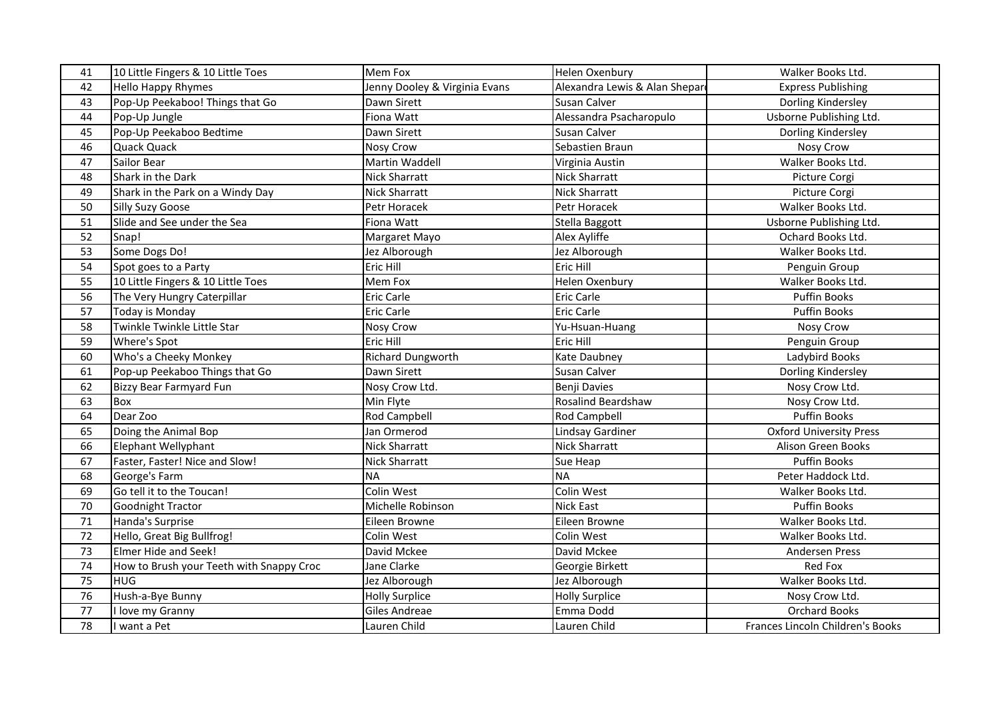| 41 | 10 Little Fingers & 10 Little Toes       | Mem Fox                       | Helen Oxenbury                 | Walker Books Ltd.                |
|----|------------------------------------------|-------------------------------|--------------------------------|----------------------------------|
| 42 | <b>Hello Happy Rhymes</b>                | Jenny Dooley & Virginia Evans | Alexandra Lewis & Alan Shepard | <b>Express Publishing</b>        |
| 43 | Pop-Up Peekaboo! Things that Go          | Dawn Sirett                   | Susan Calver                   | Dorling Kindersley               |
| 44 | Pop-Up Jungle                            | Fiona Watt                    | Alessandra Psacharopulo        | Usborne Publishing Ltd.          |
| 45 | Pop-Up Peekaboo Bedtime                  | Dawn Sirett                   | Susan Calver                   | Dorling Kindersley               |
| 46 | Quack Quack                              | Nosy Crow                     | Sebastien Braun                | Nosy Crow                        |
| 47 | Sailor Bear                              | Martin Waddell                | Virginia Austin                | Walker Books Ltd.                |
| 48 | Shark in the Dark                        | Nick Sharratt                 | <b>Nick Sharratt</b>           | Picture Corgi                    |
| 49 | Shark in the Park on a Windy Day         | Nick Sharratt                 | <b>Nick Sharratt</b>           | Picture Corgi                    |
| 50 | Silly Suzy Goose                         | Petr Horacek                  | Petr Horacek                   | Walker Books Ltd.                |
| 51 | Slide and See under the Sea              | Fiona Watt                    | Stella Baggott                 | Usborne Publishing Ltd.          |
| 52 | Snap!                                    | Margaret Mayo                 | Alex Ayliffe                   | Ochard Books Ltd.                |
| 53 | Some Dogs Do!                            | Jez Alborough                 | Jez Alborough                  | Walker Books Ltd.                |
| 54 | Spot goes to a Party                     | Eric Hill                     | Eric Hill                      | Penguin Group                    |
| 55 | 10 Little Fingers & 10 Little Toes       | Mem Fox                       | Helen Oxenbury                 | Walker Books Ltd.                |
| 56 | The Very Hungry Caterpillar              | Eric Carle                    | <b>Eric Carle</b>              | <b>Puffin Books</b>              |
| 57 | Today is Monday                          | Eric Carle                    | <b>Eric Carle</b>              | <b>Puffin Books</b>              |
| 58 | Twinkle Twinkle Little Star              | Nosy Crow                     | Yu-Hsuan-Huang                 | Nosy Crow                        |
| 59 | Where's Spot                             | Eric Hill                     | Eric Hill                      | Penguin Group                    |
| 60 | Who's a Cheeky Monkey                    | <b>Richard Dungworth</b>      | Kate Daubney                   | Ladybird Books                   |
| 61 | Pop-up Peekaboo Things that Go           | Dawn Sirett                   | Susan Calver                   | Dorling Kindersley               |
| 62 | Bizzy Bear Farmyard Fun                  | Nosy Crow Ltd.                | Benji Davies                   | Nosy Crow Ltd.                   |
| 63 | Box                                      | Min Flyte                     | Rosalind Beardshaw             | Nosy Crow Ltd.                   |
| 64 | Dear Zoo                                 | Rod Campbell                  | Rod Campbell                   | <b>Puffin Books</b>              |
| 65 | Doing the Animal Bop                     | Jan Ormerod                   | Lindsay Gardiner               | <b>Oxford University Press</b>   |
| 66 | Elephant Wellyphant                      | Nick Sharratt                 | <b>Nick Sharratt</b>           | Alison Green Books               |
| 67 | Faster, Faster! Nice and Slow!           | Nick Sharratt                 | Sue Heap                       | Puffin Books                     |
| 68 | George's Farm                            | <b>NA</b>                     | <b>NA</b>                      | Peter Haddock Ltd.               |
| 69 | Go tell it to the Toucan!                | Colin West                    | Colin West                     | Walker Books Ltd.                |
| 70 | Goodnight Tractor                        | Michelle Robinson             | Nick East                      | <b>Puffin Books</b>              |
| 71 | Handa's Surprise                         | Eileen Browne                 | Eileen Browne                  | Walker Books Ltd.                |
| 72 | Hello, Great Big Bullfrog!               | Colin West                    | Colin West                     | Walker Books Ltd.                |
| 73 | Elmer Hide and Seek!                     | David Mckee                   | David Mckee                    | <b>Andersen Press</b>            |
| 74 | How to Brush your Teeth with Snappy Croc | Jane Clarke                   | Georgie Birkett                | Red Fox                          |
| 75 | <b>HUG</b>                               | Jez Alborough                 | Jez Alborough                  | Walker Books Ltd.                |
| 76 | Hush-a-Bye Bunny                         | <b>Holly Surplice</b>         | <b>Holly Surplice</b>          | Nosy Crow Ltd.                   |
| 77 | I love my Granny                         | Giles Andreae                 | Emma Dodd                      | <b>Orchard Books</b>             |
| 78 | I want a Pet                             | Lauren Child                  | Lauren Child                   | Frances Lincoln Children's Books |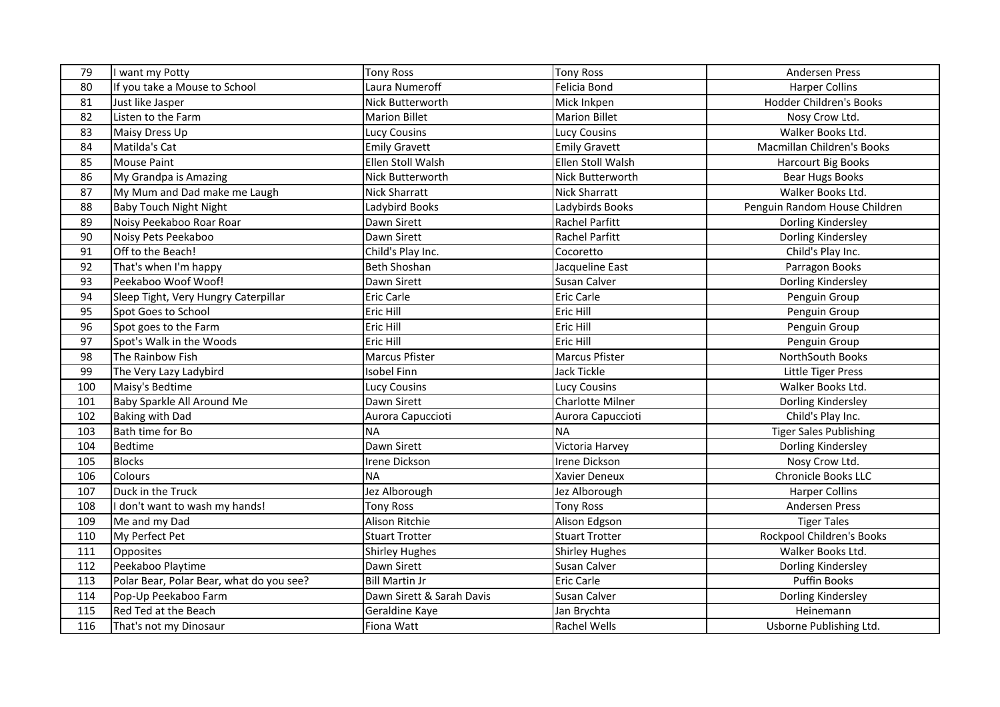| 79  | I want my Potty                          | <b>Tony Ross</b>          | <b>Tony Ross</b>      | <b>Andersen Press</b>         |
|-----|------------------------------------------|---------------------------|-----------------------|-------------------------------|
| 80  | If you take a Mouse to School            | Laura Numeroff            | Felicia Bond          | <b>Harper Collins</b>         |
| 81  | Just like Jasper                         | Nick Butterworth          | Mick Inkpen           | Hodder Children's Books       |
| 82  | Listen to the Farm                       | <b>Marion Billet</b>      | <b>Marion Billet</b>  | Nosy Crow Ltd.                |
| 83  | Maisy Dress Up                           | Lucy Cousins              | Lucy Cousins          | Walker Books Ltd.             |
| 84  | Matilda's Cat                            | <b>Emily Gravett</b>      | <b>Emily Gravett</b>  | Macmillan Children's Books    |
| 85  | <b>Mouse Paint</b>                       | Ellen Stoll Walsh         | Ellen Stoll Walsh     | Harcourt Big Books            |
| 86  | My Grandpa is Amazing                    | Nick Butterworth          | Nick Butterworth      | <b>Bear Hugs Books</b>        |
| 87  | My Mum and Dad make me Laugh             | <b>Nick Sharratt</b>      | <b>Nick Sharratt</b>  | Walker Books Ltd.             |
| 88  | <b>Baby Touch Night Night</b>            | Ladybird Books            | Ladybirds Books       | Penguin Random House Children |
| 89  | Noisy Peekaboo Roar Roar                 | Dawn Sirett               | Rachel Parfitt        | Dorling Kindersley            |
| 90  | Noisy Pets Peekaboo                      | Dawn Sirett               | Rachel Parfitt        | Dorling Kindersley            |
| 91  | Off to the Beach!                        | Child's Play Inc.         | Cocoretto             | Child's Play Inc.             |
| 92  | That's when I'm happy                    | <b>Beth Shoshan</b>       | Jacqueline East       | Parragon Books                |
| 93  | Peekaboo Woof Woof!                      | Dawn Sirett               | Susan Calver          | Dorling Kindersley            |
| 94  | Sleep Tight, Very Hungry Caterpillar     | <b>Eric Carle</b>         | <b>Eric Carle</b>     | Penguin Group                 |
| 95  | Spot Goes to School                      | Eric Hill                 | <b>Eric Hill</b>      | Penguin Group                 |
| 96  | Spot goes to the Farm                    | Eric Hill                 | Eric Hill             | Penguin Group                 |
| 97  | Spot's Walk in the Woods                 | Eric Hill                 | Eric Hill             | Penguin Group                 |
| 98  | The Rainbow Fish                         | Marcus Pfister            | Marcus Pfister        | NorthSouth Books              |
| 99  | The Very Lazy Ladybird                   | <b>Isobel Finn</b>        | Jack Tickle           | Little Tiger Press            |
| 100 | Maisy's Bedtime                          | Lucy Cousins              | Lucy Cousins          | Walker Books Ltd.             |
| 101 | Baby Sparkle All Around Me               | Dawn Sirett               | Charlotte Milner      | Dorling Kindersley            |
| 102 | <b>Baking with Dad</b>                   | Aurora Capuccioti         | Aurora Capuccioti     | Child's Play Inc.             |
| 103 | Bath time for Bo                         | <b>NA</b>                 | <b>NA</b>             | <b>Tiger Sales Publishing</b> |
| 104 | <b>Bedtime</b>                           | Dawn Sirett               | Victoria Harvey       | Dorling Kindersley            |
| 105 | <b>Blocks</b>                            | Irene Dickson             | Irene Dickson         | Nosy Crow Ltd.                |
| 106 | Colours                                  | <b>NA</b>                 | Xavier Deneux         | Chronicle Books LLC           |
| 107 | Duck in the Truck                        | Jez Alborough             | Jez Alborough         | <b>Harper Collins</b>         |
| 108 | I don't want to wash my hands!           | <b>Tony Ross</b>          | <b>Tony Ross</b>      | <b>Andersen Press</b>         |
| 109 | Me and my Dad                            | Alison Ritchie            | Alison Edgson         | <b>Tiger Tales</b>            |
| 110 | My Perfect Pet                           | <b>Stuart Trotter</b>     | <b>Stuart Trotter</b> | Rockpool Children's Books     |
| 111 | Opposites                                | <b>Shirley Hughes</b>     | <b>Shirley Hughes</b> | Walker Books Ltd.             |
| 112 | Peekaboo Playtime                        | Dawn Sirett               | Susan Calver          | Dorling Kindersley            |
| 113 | Polar Bear, Polar Bear, what do you see? | <b>Bill Martin Jr</b>     | Eric Carle            | Puffin Books                  |
| 114 | Pop-Up Peekaboo Farm                     | Dawn Sirett & Sarah Davis | Susan Calver          | Dorling Kindersley            |
| 115 | Red Ted at the Beach                     | Geraldine Kaye            | Jan Brychta           | Heinemann                     |
| 116 | That's not my Dinosaur                   | Fiona Watt                | Rachel Wells          | Usborne Publishing Ltd.       |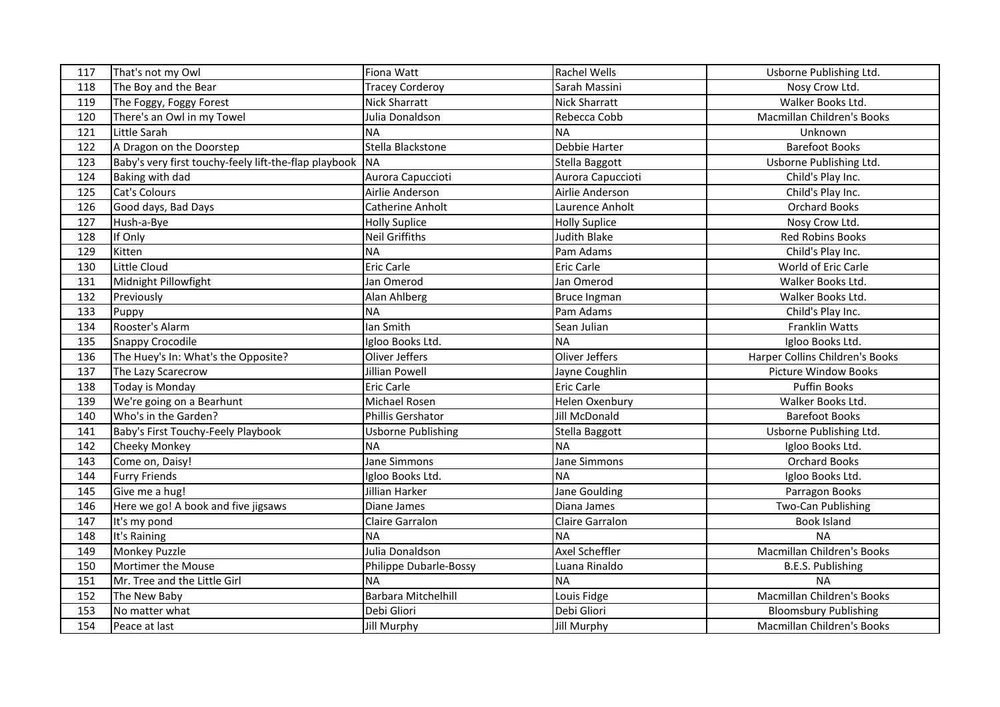| 117 | That's not my Owl                                     | <b>Fiona Watt</b>         | <b>Rachel Wells</b>   | Usborne Publishing Ltd.           |
|-----|-------------------------------------------------------|---------------------------|-----------------------|-----------------------------------|
| 118 | The Boy and the Bear                                  | <b>Tracey Corderoy</b>    | Sarah Massini         | Nosy Crow Ltd.                    |
| 119 | The Foggy, Foggy Forest                               | <b>Nick Sharratt</b>      | <b>Nick Sharratt</b>  | Walker Books Ltd.                 |
| 120 | There's an Owl in my Towel                            | Julia Donaldson           | Rebecca Cobb          | Macmillan Children's Books        |
| 121 | Little Sarah                                          | <b>NA</b>                 | <b>NA</b>             | Unknown                           |
| 122 | A Dragon on the Doorstep                              | Stella Blackstone         | Debbie Harter         | <b>Barefoot Books</b>             |
| 123 | Baby's very first touchy-feely lift-the-flap playbook | <b>NA</b>                 | Stella Baggott        | Usborne Publishing Ltd.           |
| 124 | Baking with dad                                       | Aurora Capuccioti         | Aurora Capuccioti     | Child's Play Inc.                 |
| 125 | Cat's Colours                                         | Airlie Anderson           | Airlie Anderson       | Child's Play Inc.                 |
| 126 | Good days, Bad Days                                   | Catherine Anholt          | Laurence Anholt       | <b>Orchard Books</b>              |
| 127 | Hush-a-Bye                                            | <b>Holly Suplice</b>      | <b>Holly Suplice</b>  | Nosy Crow Ltd.                    |
| 128 | If Only                                               | <b>Neil Griffiths</b>     | <b>Judith Blake</b>   | <b>Red Robins Books</b>           |
| 129 | Kitten                                                | <b>NA</b>                 | Pam Adams             | Child's Play Inc.                 |
| 130 | Little Cloud                                          | <b>Eric Carle</b>         | <b>Eric Carle</b>     | World of Eric Carle               |
| 131 | Midnight Pillowfight                                  | Jan Omerod                | Jan Omerod            | Walker Books Ltd.                 |
| 132 | Previously                                            | Alan Ahlberg              | <b>Bruce Ingman</b>   | Walker Books Ltd.                 |
| 133 | Puppy                                                 | <b>NA</b>                 | Pam Adams             | Child's Play Inc.                 |
| 134 | Rooster's Alarm                                       | Ian Smith                 | Sean Julian           | Franklin Watts                    |
| 135 | Snappy Crocodile                                      | Igloo Books Ltd.          | <b>NA</b>             | Igloo Books Ltd.                  |
| 136 | The Huey's In: What's the Opposite?                   | Oliver Jeffers            | Oliver Jeffers        | Harper Collins Children's Books   |
| 137 | The Lazy Scarecrow                                    | <b>Jillian Powell</b>     | Jayne Coughlin        | <b>Picture Window Books</b>       |
| 138 | Today is Monday                                       | <b>Eric Carle</b>         | Eric Carle            | <b>Puffin Books</b>               |
| 139 | We're going on a Bearhunt                             | Michael Rosen             | <b>Helen Oxenbury</b> | Walker Books Ltd.                 |
| 140 | Who's in the Garden?                                  | Phillis Gershator         | Jill McDonald         | <b>Barefoot Books</b>             |
| 141 | Baby's First Touchy-Feely Playbook                    | <b>Usborne Publishing</b> | Stella Baggott        | Usborne Publishing Ltd.           |
| 142 | Cheeky Monkey                                         | <b>NA</b>                 | <b>NA</b>             | Igloo Books Ltd.                  |
| 143 | Come on, Daisy!                                       | Jane Simmons              | Jane Simmons          | <b>Orchard Books</b>              |
| 144 | <b>Furry Friends</b>                                  | Igloo Books Ltd.          | <b>NA</b>             | Igloo Books Ltd.                  |
| 145 | Give me a hug!                                        | Jillian Harker            | Jane Goulding         | Parragon Books                    |
| 146 | Here we go! A book and five jigsaws                   | Diane James               | Diana James           | Two-Can Publishing                |
| 147 | It's my pond                                          | Claire Garralon           | Claire Garralon       | Book Island                       |
| 148 | It's Raining                                          | <b>NA</b>                 | <b>NA</b>             | <b>NA</b>                         |
| 149 | Monkey Puzzle                                         | Julia Donaldson           | Axel Scheffler        | <b>Macmillan Children's Books</b> |
| 150 | Mortimer the Mouse                                    | Philippe Dubarle-Bossy    | Luana Rinaldo         | <b>B.E.S. Publishing</b>          |
| 151 | Mr. Tree and the Little Girl                          | <b>NA</b>                 | <b>NA</b>             | <b>NA</b>                         |
| 152 | The New Baby                                          | Barbara Mitchelhill       | Louis Fidge           | Macmillan Children's Books        |
| 153 | No matter what                                        | Debi Gliori               | Debi Gliori           | <b>Bloomsbury Publishing</b>      |
| 154 | Peace at last                                         | <b>Jill Murphy</b>        | Jill Murphy           | <b>Macmillan Children's Books</b> |